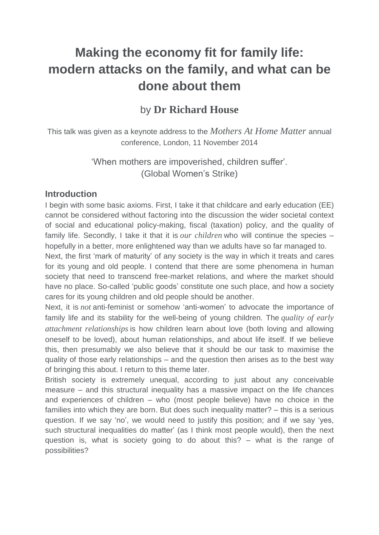# **Making the economy fit for family life: modern attacks on the family, and what can be done about them**

# by **Dr Richard House**

This talk was given as a keynote address to the *Mothers At Home Matter* annual conference, London, 11 November 2014

> 'When mothers are impoverished, children suffer'. (Global Women's Strike)

#### **Introduction**

I begin with some basic axioms. First, I take it that childcare and early education (EE) cannot be considered without factoring into the discussion the wider societal context of social and educational policy-making, fiscal (taxation) policy, and the quality of family life. Secondly, I take it that it is *our children* who will continue the species – hopefully in a better, more enlightened way than we adults have so far managed to.

Next, the first 'mark of maturity' of any society is the way in which it treats and cares for its young and old people. I contend that there are some phenomena in human society that need to transcend free-market relations, and where the market should have no place. So-called 'public goods' constitute one such place, and how a society cares for its young children and old people should be another.

Next, it is *not* anti-feminist or somehow 'anti-women' to advocate the importance of family life and its stability for the well-being of young children. The *quality of early attachment relationships* is how children learn about love (both loving and allowing oneself to be loved), about human relationships, and about life itself. If we believe this, then presumably we also believe that it should be our task to maximise the quality of those early relationships – and the question then arises as to the best way of bringing this about. I return to this theme later.

British society is extremely unequal, according to just about any conceivable measure – and this structural inequality has a massive impact on the life chances and experiences of children – who (most people believe) have no choice in the families into which they are born. But does such inequality matter? – this is a serious question. If we say 'no', we would need to justify this position; and if we say 'yes, such structural inequalities do matter' (as I think most people would), then the next question is, what is society going to do about this? – what is the range of possibilities?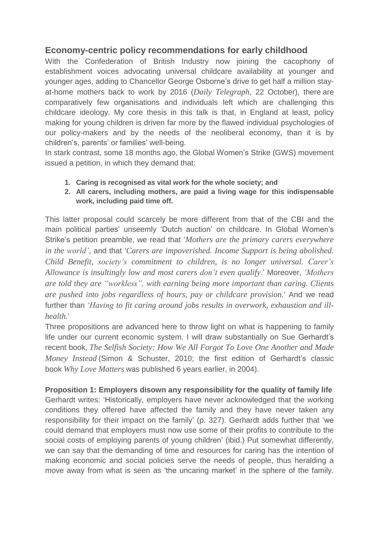# **Economy-centric policy recommendations for early childhood**

With the Confederation of British Industry now joining the cacophony of establishment voices advocating universal childcare availability at younger and younger ages, adding to Chancellor George Osborne's drive to get half a million stayat-home mothers back to work by 2016 (*Daily Telegraph*, 22 October), there are comparatively few organisations and individuals left which are challenging this childcare ideology. My core thesis in this talk is that, in England at least, policy making for young children is driven far more by the flawed individual psychologies of our policy-makers and by the needs of the neoliberal economy, than it is by children's, parents' or families' well-being.

In stark contrast, some 18 months ago, the Global Women's Strike (GWS) movement issued a petition, in which they demand that:

- **1. Caring is recognised as vital work for the whole society; and**
- **2. All carers, including mothers, are paid a living wage for this indispensable work, including paid time off.**

This latter proposal could scarcely be more different from that of the CBI and the main political parties' unseemly 'Dutch auction' on childcare. In Global Women's Strike's petition preamble, we read that '*Mothers are the primary carers everywhere in the world'*, and that '*Carers are impoverished. Income Support is being abolished. Child Benefit, society's commitment to children, is no longer universal. Carer's Allowance is insultingly low and most carers don't even qualify*.' Moreover, *'Mothers are told they are "workless", with earning being more important than caring. Clients are pushed into jobs regardless of hours, pay or childcare provision.*' And we read further than *'Having to fit caring around jobs results in overwork, exhaustion and illhealth.*'

Three propositions are advanced here to throw light on what is happening to family life under our current economic system. I will draw substantially on Sue Gerhardt's recent book, *The Selfish Society: How We All Forgot To Love One Another and Made Money Instead* (Simon & Schuster, 2010; the first edition of Gerhardt's classic book *Why Love Matters* was published 6 years earlier, in 2004).

**Proposition 1: Employers disown any responsibility for the quality of family life** Gerhardt writes: 'Historically, employers have never acknowledged that the working conditions they offered have affected the family and they have never taken any responsibility for their impact on the family' (p. 327). Gerhardt adds further that 'we could demand that employers must now use some of their profits to contribute to the social costs of employing parents of young children' (ibid.) Put somewhat differently, we can say that the demanding of time and resources for caring has the intention of making economic and social policies serve the needs of people, thus heralding a move away from what is seen as 'the uncaring market' in the sphere of the family.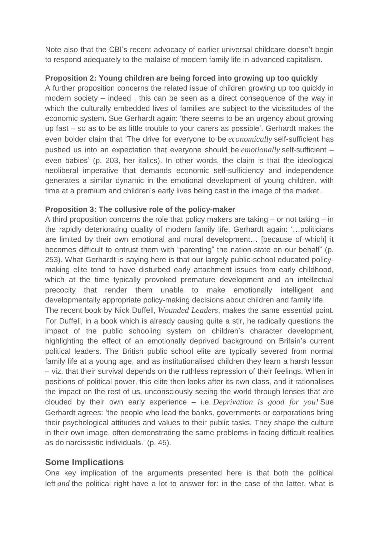Note also that the CBI's recent advocacy of earlier universal childcare doesn't begin to respond adequately to the malaise of modern family life in advanced capitalism.

#### **Proposition 2: Young children are being forced into growing up too quickly**

A further proposition concerns the related issue of children growing up too quickly in modern society – indeed , this can be seen as a direct consequence of the way in which the culturally embedded lives of families are subject to the vicissitudes of the economic system. Sue Gerhardt again: 'there seems to be an urgency about growing up fast – so as to be as little trouble to your carers as possible'. Gerhardt makes the even bolder claim that 'The drive for everyone to be *economically* self-sufficient has pushed us into an expectation that everyone should be *emotionally* self-sufficient – even babies' (p. 203, her italics). In other words, the claim is that the ideological neoliberal imperative that demands economic self-sufficiency and independence generates a similar dynamic in the emotional development of young children, with time at a premium and children's early lives being cast in the image of the market.

#### **Proposition 3: The collusive role of the policy-maker**

A third proposition concerns the role that policy makers are taking – or not taking – in the rapidly deteriorating quality of modern family life. Gerhardt again: '…politicians are limited by their own emotional and moral development… [because of which] it becomes difficult to entrust them with "parenting" the nation-state on our behalf" (p. 253). What Gerhardt is saying here is that our largely public-school educated policymaking elite tend to have disturbed early attachment issues from early childhood, which at the time typically provoked premature development and an intellectual precocity that render them unable to make emotionally intelligent and developmentally appropriate policy-making decisions about children and family life.

The recent book by Nick Duffell, *Wounded Leaders*, makes the same essential point. For Duffell, in a book which is already causing quite a stir, he radically questions the impact of the public schooling system on children's character development, highlighting the effect of an emotionally deprived background on Britain's current political leaders. The British public school elite are typically severed from normal family life at a young age, and as institutionalised children they learn a harsh lesson – viz. that their survival depends on the ruthless repression of their feelings. When in positions of political power, this elite then looks after its own class, and it rationalises the impact on the rest of us, unconsciously seeing the world through lenses that are clouded by their own early experience – i.e. *Deprivation is good for you!* Sue Gerhardt agrees: 'the people who lead the banks, governments or corporations bring their psychological attitudes and values to their public tasks. They shape the culture in their own image, often demonstrating the same problems in facing difficult realities as do narcissistic individuals.' (p. 45).

## **Some Implications**

One key implication of the arguments presented here is that both the political left *and* the political right have a lot to answer for: in the case of the latter, what is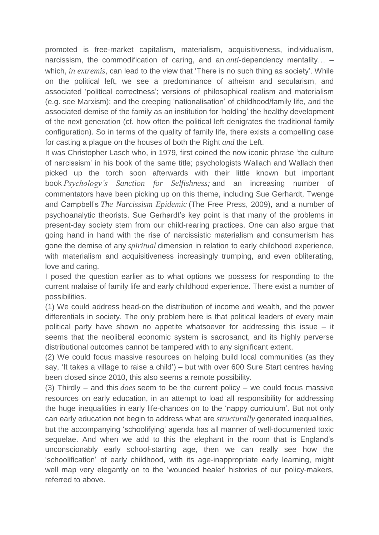promoted is free-market capitalism, materialism, acquisitiveness, individualism, narcissism, the commodification of caring, and an *anti*-dependency mentality… – which, *in extremis*, can lead to the view that 'There is no such thing as society'. While on the political left, we see a predominance of atheism and secularism, and associated 'political correctness'; versions of philosophical realism and materialism (e.g. see Marxism); and the creeping 'nationalisation' of childhood/family life, and the associated demise of the family as an institution for 'holding' the healthy development of the next generation (cf. how often the political left denigrates the traditional family configuration). So in terms of the quality of family life, there exists a compelling case for casting a plague on the houses of both the Right *and* the Left.

It was Christopher Lasch who, in 1979, first coined the now iconic phrase 'the culture of narcissism' in his book of the same title; psychologists Wallach and Wallach then picked up the torch soon afterwards with their little known but important book *Psychology's Sanction for Selfishness;* and an increasing number of commentators have been picking up on this theme, including Sue Gerhardt, Twenge and Campbell's *The Narcissism Epidemic* (The Free Press, 2009), and a number of psychoanalytic theorists. Sue Gerhardt's key point is that many of the problems in present-day society stem from our child-rearing practices. One can also argue that going hand in hand with the rise of narcissistic materialism and consumerism has gone the demise of any *spiritual* dimension in relation to early childhood experience, with materialism and acquisitiveness increasingly trumping, and even obliterating, love and caring.

I posed the question earlier as to what options we possess for responding to the current malaise of family life and early childhood experience. There exist a number of possibilities.

(1) We could address head-on the distribution of income and wealth, and the power differentials in society. The only problem here is that political leaders of every main political party have shown no appetite whatsoever for addressing this issue – it seems that the neoliberal economic system is sacrosanct, and its highly perverse distributional outcomes cannot be tampered with to any significant extent.

(2) We could focus massive resources on helping build local communities (as they say, 'It takes a village to raise a child') – but with over 600 Sure Start centres having been closed since 2010, this also seems a remote possibility.

(3) Thirdly – and this *does* seem to be the current policy – we could focus massive resources on early education, in an attempt to load all responsibility for addressing the huge inequalities in early life-chances on to the 'nappy curriculum'. But not only can early education not begin to address what are *structurally* generated inequalities, but the accompanying 'schoolifying' agenda has all manner of well-documented toxic sequelae. And when we add to this the elephant in the room that is England's unconscionably early school-starting age, then we can really see how the 'schoolification' of early childhood, with its age-inappropriate early learning, might well map very elegantly on to the 'wounded healer' histories of our policy-makers, referred to above.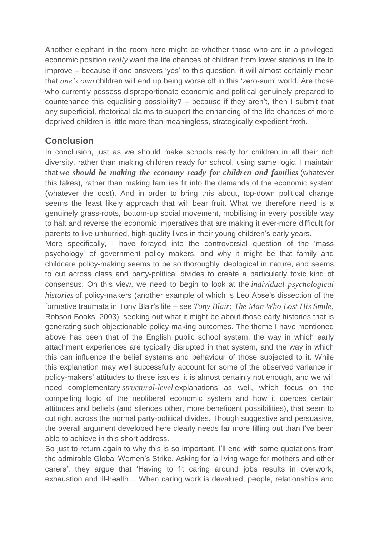Another elephant in the room here might be whether those who are in a privileged economic position *really* want the life chances of children from lower stations in life to improve – because if one answers 'yes' to this question, it will almost certainly mean that *one's own* children will end up being worse off in this 'zero-sum' world. Are those who currently possess disproportionate economic and political genuinely prepared to countenance this equalising possibility? – because if they aren't, then I submit that any superficial, rhetorical claims to support the enhancing of the life chances of more deprived children is little more than meaningless, strategically expedient froth.

## **Conclusion**

In conclusion, just as we should make schools ready for children in all their rich diversity, rather than making children ready for school, using same logic, I maintain that *we should be making the economy ready for children and families* (whatever this takes), rather than making families fit into the demands of the economic system (whatever the cost). And in order to bring this about, top-down political change seems the least likely approach that will bear fruit. What we therefore need is a genuinely grass-roots, bottom-up social movement, mobilising in every possible way to halt and reverse the economic imperatives that are making it ever-more difficult for parents to live unhurried, high-quality lives in their young children's early years.

More specifically, I have forayed into the controversial question of the 'mass psychology' of government policy makers, and why it might be that family and childcare policy-making seems to be so thoroughly ideological in nature, and seems to cut across class and party-political divides to create a particularly toxic kind of consensus. On this view, we need to begin to look at the *individual psychological histories* of policy-makers (another example of which is Leo Abse's dissection of the formative traumata in Tony Blair's life – see *Tony Blair: The Man Who Lost His Smile*, Robson Books, 2003), seeking out what it might be about those early histories that is generating such objectionable policy-making outcomes. The theme I have mentioned above has been that of the English public school system, the way in which early attachment experiences are typically disrupted in that system, and the way in which this can influence the belief systems and behaviour of those subjected to it. While this explanation may well successfully account for some of the observed variance in policy-makers' attitudes to these issues, it is almost certainly not enough, and we will need complementary *structural-level* explanations as well, which focus on the compelling logic of the neoliberal economic system and how it coerces certain attitudes and beliefs (and silences other, more beneficent possibilities), that seem to cut right across the normal party-political divides. Though suggestive and persuasive, the overall argument developed here clearly needs far more filling out than I've been able to achieve in this short address.

So just to return again to why this is so important, I'll end with some quotations from the admirable Global Women's Strike. Asking for 'a living wage for mothers and other carers', they argue that 'Having to fit caring around jobs results in overwork, exhaustion and ill-health… When caring work is devalued, people, relationships and